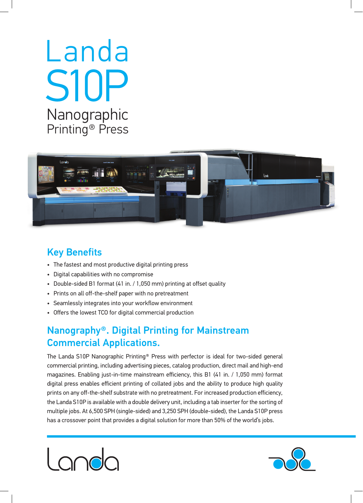# Nanographic Printing<sup>®</sup> Press Landa S10P



## **Key Benefits**

- The fastest and most productive digital printing press
- Digital capabilities with no compromise
- Double-sided B1 format (41 in. / 1,050 mm) printing at offset quality
- Prints on all off-the-shelf paper with no pretreatment
- Seamlessly integrates into your workflow environment
- Offers the lowest TCO for digital commercial production

## Nanography®. Digital Printing for Mainstream **Commercial Applications.**

The Landa S10P Nanographic Printing<sup>®</sup> Press with perfector is ideal for two-sided general commercial printing, including advertising pieces, catalog production, direct mail and high-end magazines. Enabling just-in-time mainstream efficiency, this B1 (41 in. / 1,050 mm) format digital press enables efficient printing of collated jobs and the ability to produce high quality prints on any off-the-shelf substrate with no pretreatment. For increased production efficiency, the Landa S10P is available with a double delivery unit, including a tab inserter for the sorting of multiple jobs. At 6,500 SPH (single-sided) and 3,250 SPH (double-sided), the Landa S10P press has a crossover point that provides a digital solution for more than 50% of the world's jobs.